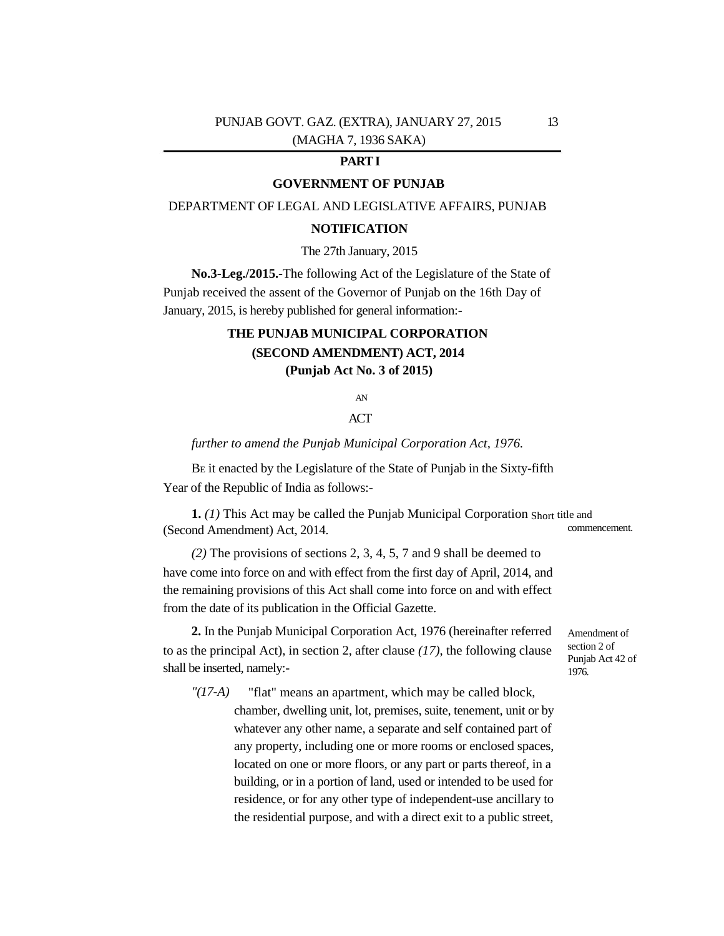## PUNJAB GOVT. GAZ. (EXTRA), JANUARY 27, 2015 13 (MAGHA 7, 1936 SAKA)

## **PART I**

## **GOVERNMENT OF PUNJAB**

DEPARTMENT OF LEGAL AND LEGISLATIVE AFFAIRS, PUNJAB

### **NOTIFICATION**

#### The 27th January, 2015

**No.3-Leg./2015.-**The following Act of the Legislature of the State of Punjab received the assent of the Governor of Punjab on the 16th Day of January, 2015, is hereby published for general information:-

# **THE PUNJAB MUNICIPAL CORPORATION (SECOND AMENDMENT) ACT, 2014 (Punjab Act No. 3 of 2015)**

AN

## ACT

*further to amend the Punjab Municipal Corporation Act, 1976.* 

B<sup>E</sup> it enacted by the Legislature of the State of Punjab in the Sixty-fifth Year of the Republic of India as follows:-

**1.** *(1)* This Act may be called the Punjab Municipal Corporation Short title and (Second Amendment) Act, 2014. commencement.

*(2)* The provisions of sections 2, 3, 4, 5, 7 and 9 shall be deemed to have come into force on and with effect from the first day of April, 2014, and the remaining provisions of this Act shall come into force on and with effect from the date of its publication in the Official Gazette.

**2.** In the Punjab Municipal Corporation Act, 1976 (hereinafter referred to as the principal Act), in section 2, after clause *(17)*, the following clause shall be inserted, namely:-

Amendment of section 2 of Punjab Act 42 of 1976.

*"(17-A)* "flat" means an apartment, which may be called block, chamber, dwelling unit, lot, premises, suite, tenement, unit or by whatever any other name, a separate and self contained part of any property, including one or more rooms or enclosed spaces, located on one or more floors, or any part or parts thereof, in a building, or in a portion of land, used or intended to be used for

> residence, or for any other type of independent-use ancillary to the residential purpose, and with a direct exit to a public street,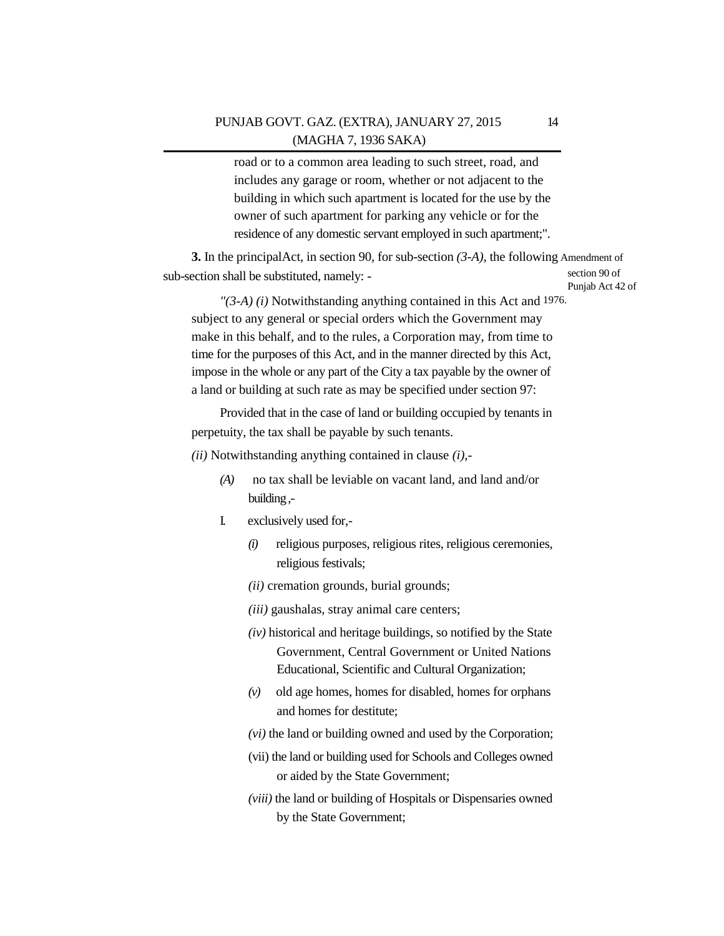road or to a common area leading to such street, road, and includes any garage or room, whether or not adjacent to the building in which such apartment is located for the use by the owner of such apartment for parking any vehicle or for the residence of any domestic servant employed in such apartment;".

**3.** In the principalAct, in section 90, for sub-section *(3-A)*, the following Amendment of sub-section shall be substituted, namely: section 90 of Punjab Act 42 of

*"(3-A) (i)* Notwithstanding anything contained in this Act and 1976. subject to any general or special orders which the Government may make in this behalf, and to the rules, a Corporation may, from time to time for the purposes of this Act, and in the manner directed by this Act, impose in the whole or any part of the City a tax payable by the owner of a land or building at such rate as may be specified under section 97:

Provided that in the case of land or building occupied by tenants in perpetuity, the tax shall be payable by such tenants.

*(ii)* Notwithstanding anything contained in clause *(i)*,-

- *(A)* no tax shall be leviable on vacant land, and land and/or building ,-
- I. exclusively used for,-
	- *(i)* religious purposes, religious rites, religious ceremonies, religious festivals;
	- *(ii)* cremation grounds, burial grounds;
	- *(iii)* gaushalas, stray animal care centers;
	- *(iv)* historical and heritage buildings, so notified by the State Government, Central Government or United Nations Educational, Scientific and Cultural Organization;
	- *(v)* old age homes, homes for disabled, homes for orphans and homes for destitute;
	- *(vi)* the land or building owned and used by the Corporation;
	- (vii) the land or building used for Schools and Colleges owned or aided by the State Government;
	- *(viii)* the land or building of Hospitals or Dispensaries owned by the State Government;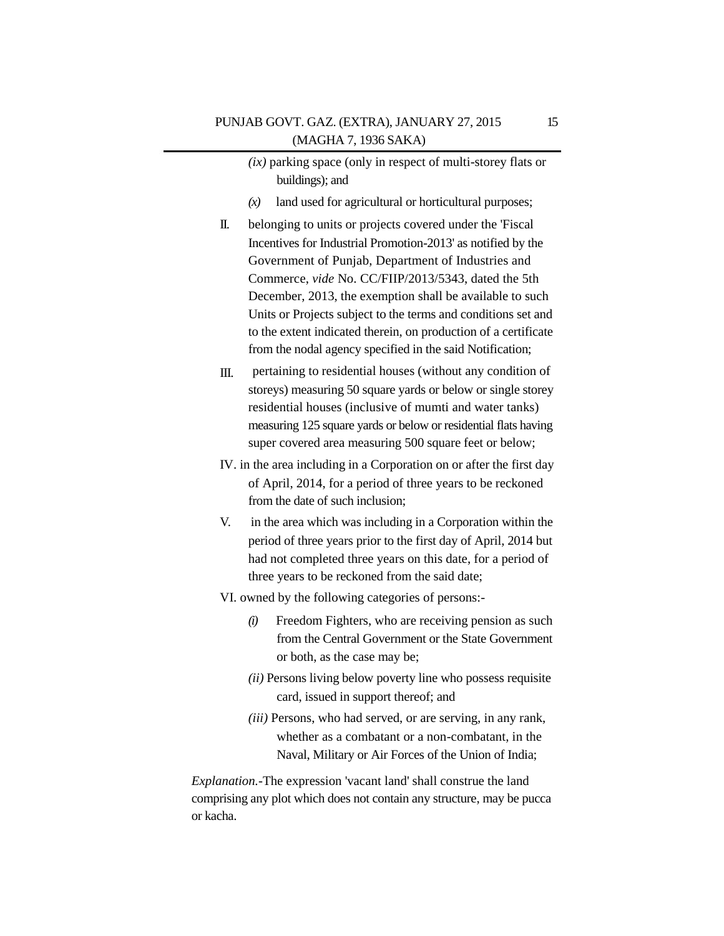|                 | $(ix)$ parking space (only in respect of multi-storey flats or |
|-----------------|----------------------------------------------------------------|
| buildings); and |                                                                |

- *(x)* land used for agricultural or horticultural purposes;
- II. belonging to units or projects covered under the 'Fiscal Incentives for Industrial Promotion-2013' as notified by the Government of Punjab, Department of Industries and Commerce, *vide* No. CC/FIIP/2013/5343, dated the 5th December, 2013, the exemption shall be available to such Units or Projects subject to the terms and conditions set and to the extent indicated therein, on production of a certificate from the nodal agency specified in the said Notification;
- III. pertaining to residential houses (without any condition of storeys) measuring 50 square yards or below or single storey residential houses (inclusive of mumti and water tanks) measuring 125 square yards or below or residential flats having super covered area measuring 500 square feet or below;
- IV. in the area including in a Corporation on or after the first day of April, 2014, for a period of three years to be reckoned from the date of such inclusion;
- V. in the area which was including in a Corporation within the period of three years prior to the first day of April, 2014 but had not completed three years on this date, for a period of three years to be reckoned from the said date;
- VI. owned by the following categories of persons:-
	- *(i)* Freedom Fighters, who are receiving pension as such from the Central Government or the State Government or both, as the case may be;
	- *(ii)* Persons living below poverty line who possess requisite card, issued in support thereof; and
	- *(iii)* Persons, who had served, or are serving, in any rank, whether as a combatant or a non-combatant, in the Naval, Military or Air Forces of the Union of India;

*Explanation.-*The expression 'vacant land' shall construe the land comprising any plot which does not contain any structure, may be pucca or kacha.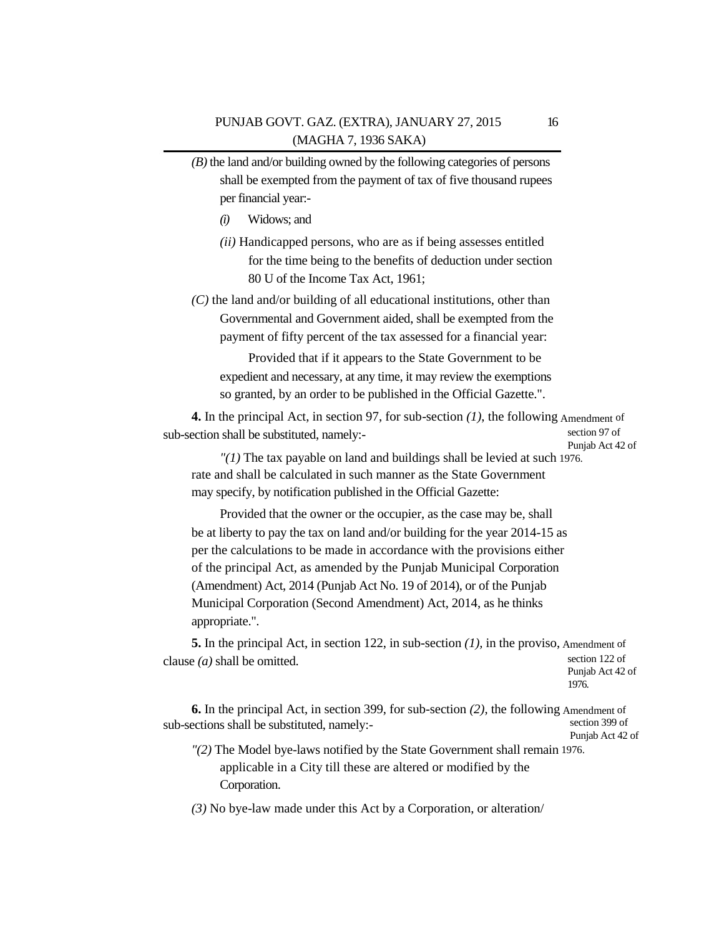- *(B)* the land and/or building owned by the following categories of persons shall be exempted from the payment of tax of five thousand rupees per financial year:-
	- *(i)* Widows; and
	- *(ii)* Handicapped persons, who are as if being assesses entitled for the time being to the benefits of deduction under section 80 U of the Income Tax Act, 1961;
- *(C)* the land and/or building of all educational institutions, other than Governmental and Government aided, shall be exempted from the payment of fifty percent of the tax assessed for a financial year:

Provided that if it appears to the State Government to be expedient and necessary, at any time, it may review the exemptions so granted, by an order to be published in the Official Gazette.".

**4.** In the principal Act, in section 97, for sub-section *(1)*, the following Amendment of sub-section shall be substituted, namely: section 97 of Punjab Act 42 of

*"(1)* The tax payable on land and buildings shall be levied at such 1976. rate and shall be calculated in such manner as the State Government may specify, by notification published in the Official Gazette:

Provided that the owner or the occupier, as the case may be, shall be at liberty to pay the tax on land and/or building for the year 2014-15 as per the calculations to be made in accordance with the provisions either of the principal Act, as amended by the Punjab Municipal Corporation (Amendment) Act, 2014 (Punjab Act No. 19 of 2014), or of the Punjab Municipal Corporation (Second Amendment) Act, 2014, as he thinks appropriate.".

**5.** In the principal Act, in section 122, in sub-section *(1),* in the proviso, Amendment of clause  $(a)$  shall be omitted. section 122 of Punjab Act 42 of

1976.

**6.** In the principal Act, in section 399, for sub-section *(2)*, the following Amendment of sub-sections shall be substituted, namely: section 399 of Punjab Act 42 of

*"(2)* The Model bye-laws notified by the State Government shall remain 1976. applicable in a City till these are altered or modified by the Corporation.

*(3)* No bye-law made under this Act by a Corporation, or alteration/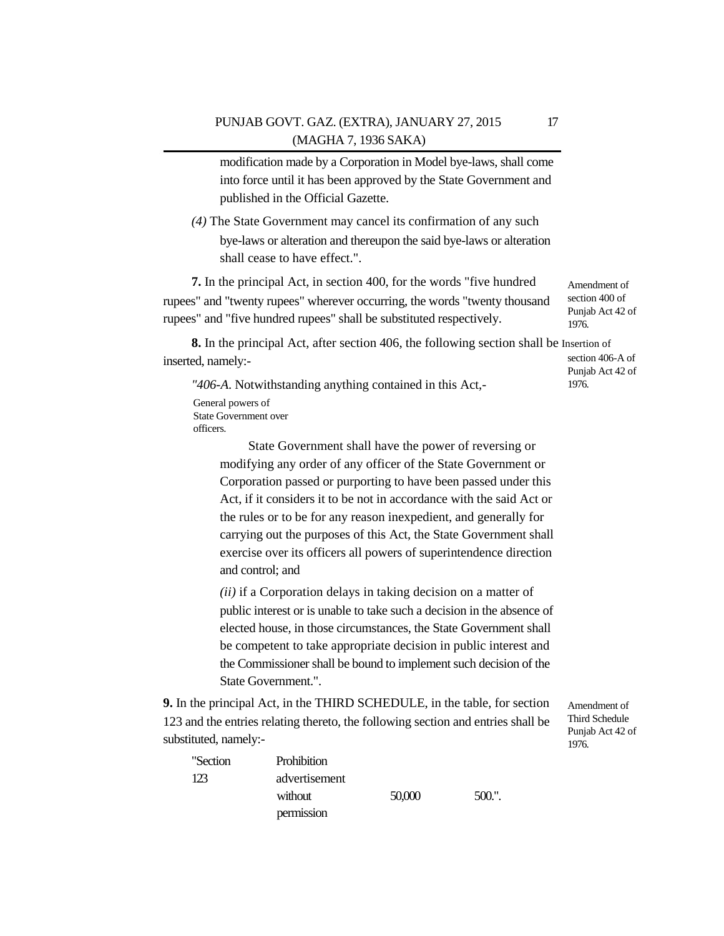modification made by a Corporation in Model bye-laws, shall come into force until it has been approved by the State Government and published in the Official Gazette.

*(4)* The State Government may cancel its confirmation of any such bye-laws or alteration and thereupon the said bye-laws or alteration shall cease to have effect.".

**7.** In the principal Act, in section 400, for the words "five hundred rupees" and "twenty rupees" wherever occurring, the words "twenty thousand rupees" and "five hundred rupees" shall be substituted respectively. Amendment of section 400 of Punjab Act 42 of 1976.

**8.** In the principal Act, after section 406, the following section shall be Insertion of inserted, namely: section 406-A of Punjab Act 42 of

*"406-A*. Notwithstanding anything contained in this Act,- General powers of State Government over

officers.

State Government shall have the power of reversing or modifying any order of any officer of the State Government or Corporation passed or purporting to have been passed under this Act, if it considers it to be not in accordance with the said Act or the rules or to be for any reason inexpedient, and generally for carrying out the purposes of this Act, the State Government shall exercise over its officers all powers of superintendence direction and control; and

*(ii)* if a Corporation delays in taking decision on a matter of public interest or is unable to take such a decision in the absence of elected house, in those circumstances, the State Government shall be competent to take appropriate decision in public interest and the Commissioner shall be bound to implement such decision of the State Government.".

**9.** In the principal Act, in the THIRD SCHEDULE, in the table, for section 123 and the entries relating thereto, the following section and entries shall be substituted, namely:-

Amendment of Third Schedule Punjab Act 42 of 1976.

| "Section | <b>Prohibition</b> |        |       |
|----------|--------------------|--------|-------|
| 123      | advertisement      |        |       |
|          | without            | 50,000 | 500." |
|          | permission         |        |       |

1976.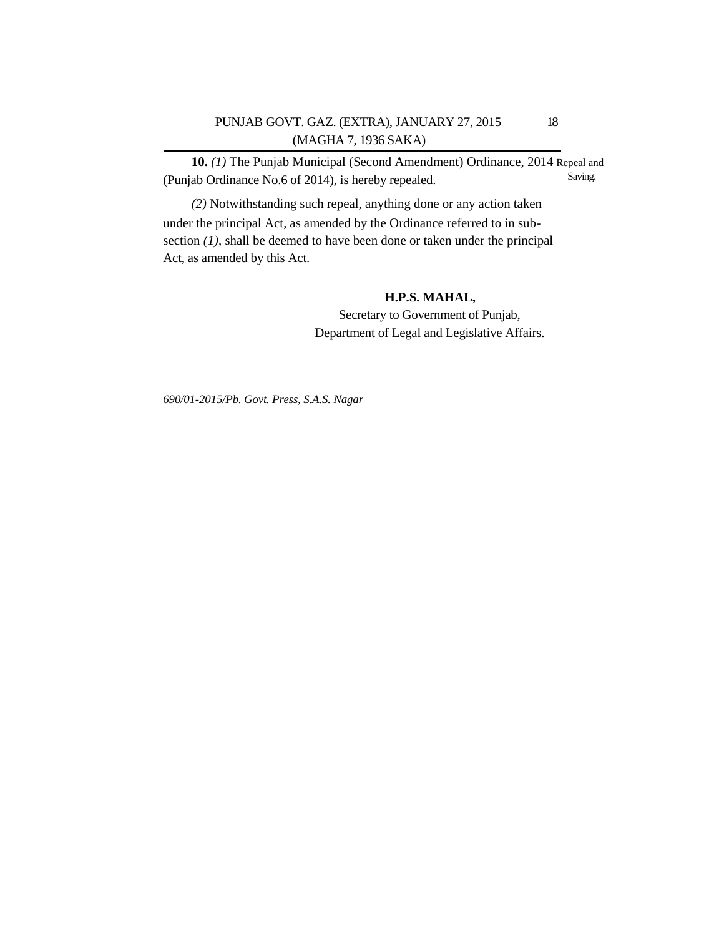## PUNJAB GOVT. GAZ. (EXTRA), JANUARY 27, 2015 18 (MAGHA 7, 1936 SAKA)

**10.** *(1)* The Punjab Municipal (Second Amendment) Ordinance, 2014 Repeal and (Punjab Ordinance No.6 of 2014), is hereby repealed. Saving.

*(2)* Notwithstanding such repeal, anything done or any action taken under the principal Act, as amended by the Ordinance referred to in subsection *(1)*, shall be deemed to have been done or taken under the principal Act, as amended by this Act.

## **H.P.S. MAHAL,**

Secretary to Government of Punjab, Department of Legal and Legislative Affairs.

*690/01-2015/Pb. Govt. Press, S.A.S. Nagar*